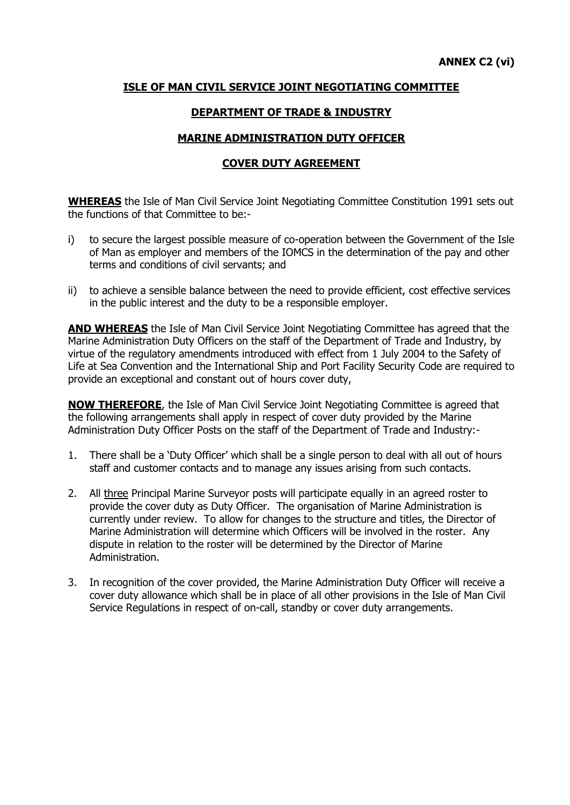## **ISLE OF MAN CIVIL SERVICE JOINT NEGOTIATING COMMITTEE**

## **DEPARTMENT OF TRADE & INDUSTRY**

## **MARINE ADMINISTRATION DUTY OFFICER**

## **COVER DUTY AGREEMENT**

**WHEREAS** the Isle of Man Civil Service Joint Negotiating Committee Constitution 1991 sets out the functions of that Committee to be:-

- i) to secure the largest possible measure of co-operation between the Government of the Isle of Man as employer and members of the IOMCS in the determination of the pay and other terms and conditions of civil servants; and
- ii) to achieve a sensible balance between the need to provide efficient, cost effective services in the public interest and the duty to be a responsible employer.

**AND WHEREAS** the Isle of Man Civil Service Joint Negotiating Committee has agreed that the Marine Administration Duty Officers on the staff of the Department of Trade and Industry, by virtue of the regulatory amendments introduced with effect from 1 July 2004 to the Safety of Life at Sea Convention and the International Ship and Port Facility Security Code are required to provide an exceptional and constant out of hours cover duty,

**NOW THEREFORE**, the Isle of Man Civil Service Joint Negotiating Committee is agreed that the following arrangements shall apply in respect of cover duty provided by the Marine Administration Duty Officer Posts on the staff of the Department of Trade and Industry:-

- 1. There shall be a 'Duty Officer' which shall be a single person to deal with all out of hours staff and customer contacts and to manage any issues arising from such contacts.
- 2. All three Principal Marine Surveyor posts will participate equally in an agreed roster to provide the cover duty as Duty Officer. The organisation of Marine Administration is currently under review. To allow for changes to the structure and titles, the Director of Marine Administration will determine which Officers will be involved in the roster. Any dispute in relation to the roster will be determined by the Director of Marine Administration.
- 3. In recognition of the cover provided, the Marine Administration Duty Officer will receive a cover duty allowance which shall be in place of all other provisions in the Isle of Man Civil Service Regulations in respect of on-call, standby or cover duty arrangements.